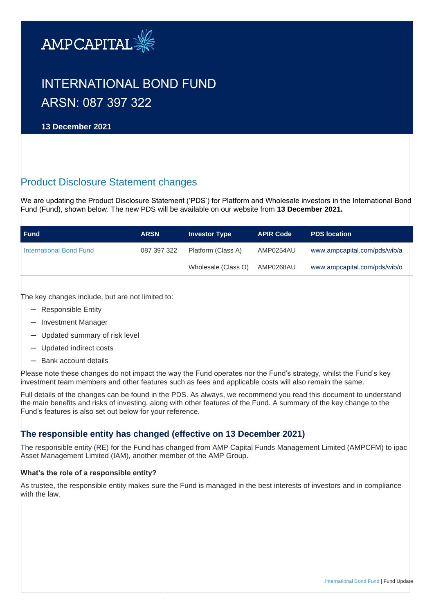

# INTERNATIONAL BOND FUND ARSN: 087 397 322

**13 December 2021**

## Product Disclosure Statement changes

We are updating the Product Disclosure Statement ('PDS') for Platform and Wholesale investors in the International Bond Fund (Fund), shown below. The new PDS will be available on our website from **13 December 2021.** 

| <b>Fund</b>                    | <b>ARSN</b> | <b>Investor Type</b> | <b>APIR Code</b> | <b>PDS location</b>          |
|--------------------------------|-------------|----------------------|------------------|------------------------------|
| <b>International Bond Fund</b> | 087 397 322 | Platform (Class A)   | AMP0254AU        | www.ampcapital.com/pds/wib/a |
|                                |             | Wholesale (Class O)  | AMP0268AU        | www.ampcapital.com/pds/wib/o |

The key changes include, but are not limited to:

- ─ Responsible Entity
- ─ Investment Manager
- ─ Updated summary of risk level
- ─ Updated indirect costs
- ─ Bank account details

Please note these changes do not impact the way the Fund operates nor the Fund's strategy, whilst the Fund's key investment team members and other features such as fees and applicable costs will also remain the same.

Full details of the changes can be found in the PDS. As always, we recommend you read this document to understand the main benefits and risks of investing, along with other features of the Fund. A summary of the key change to the Fund's features is also set out below for your reference.

## **The responsible entity has changed (effective on 13 December 2021)**

The responsible entity (RE) for the Fund has changed from AMP Capital Funds Management Limited (AMPCFM) to ipac Asset Management Limited (IAM), another member of the AMP Group.

#### **What's the role of a responsible entity?**

As trustee, the responsible entity makes sure the Fund is managed in the best interests of investors and in compliance with the law.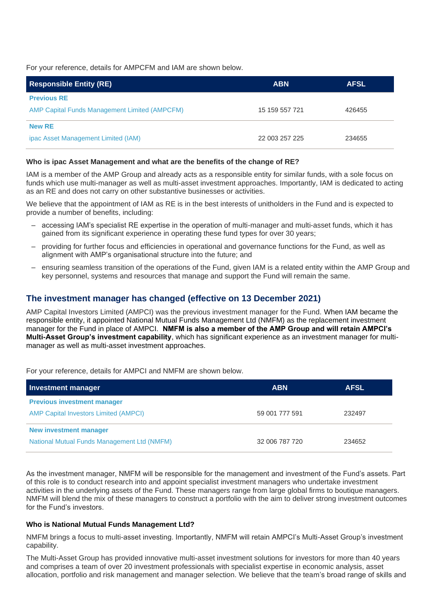For your reference, details for AMPCFM and IAM are shown below.

| <b>Responsible Entity (RE)</b>                       | <b>ABN</b>     | <b>AFSL</b> |
|------------------------------------------------------|----------------|-------------|
| <b>Previous RE</b>                                   |                |             |
| <b>AMP Capital Funds Management Limited (AMPCFM)</b> | 15 159 557 721 | 426455      |
| <b>New RE</b>                                        |                |             |
| ipac Asset Management Limited (IAM)                  | 22 003 257 225 | 234655      |

#### **Who is ipac Asset Management and what are the benefits of the change of RE?**

IAM is a member of the AMP Group and already acts as a responsible entity for similar funds, with a sole focus on funds which use multi-manager as well as multi-asset investment approaches. Importantly, IAM is dedicated to acting as an RE and does not carry on other substantive businesses or activities.

We believe that the appointment of IAM as RE is in the best interests of unitholders in the Fund and is expected to provide a number of benefits, including:

- accessing IAM's specialist RE expertise in the operation of multi-manager and multi-asset funds, which it has gained from its significant experience in operating these fund types for over 30 years;
- providing for further focus and efficiencies in operational and governance functions for the Fund, as well as alignment with AMP's organisational structure into the future; and
- ensuring seamless transition of the operations of the Fund, given IAM is a related entity within the AMP Group and key personnel, systems and resources that manage and support the Fund will remain the same.

## **The investment manager has changed (effective on 13 December 2021)**

AMP Capital Investors Limited (AMPCI) was the previous investment manager for the Fund. When IAM became the responsible entity, it appointed National Mutual Funds Management Ltd (NMFM) as the replacement investment manager for the Fund in place of AMPCI. **NMFM is also a member of the AMP Group and will retain AMPCI's Multi-Asset Group's investment capability**, which has significant experience as an investment manager for multimanager as well as multi-asset investment approaches.

For your reference, details for AMPCI and NMFM are shown below.

| Investment manager                           | <b>ABN</b>     | <b>AFSL</b> |
|----------------------------------------------|----------------|-------------|
| <b>Previous investment manager</b>           |                |             |
| <b>AMP Capital Investors Limited (AMPCI)</b> | 59 001 777 591 | 232497      |
| <b>New investment manager</b>                |                |             |
| National Mutual Funds Management Ltd (NMFM)  | 32 006 787 720 | 234652      |

As the investment manager, NMFM will be responsible for the management and investment of the Fund's assets. Part of this role is to conduct research into and appoint specialist investment managers who undertake investment activities in the underlying assets of the Fund. These managers range from large global firms to boutique managers. NMFM will blend the mix of these managers to construct a portfolio with the aim to deliver strong investment outcomes for the Fund's investors.

#### **Who is National Mutual Funds Management Ltd?**

NMFM brings a focus to multi-asset investing. Importantly, NMFM will retain AMPCI's Multi-Asset Group's investment capability.

The Multi-Asset Group has provided innovative multi-asset investment solutions for investors for more than 40 years and comprises a team of over 20 investment professionals with specialist expertise in economic analysis, asset allocation, portfolio and risk management and manager selection. We believe that the team's broad range of skills and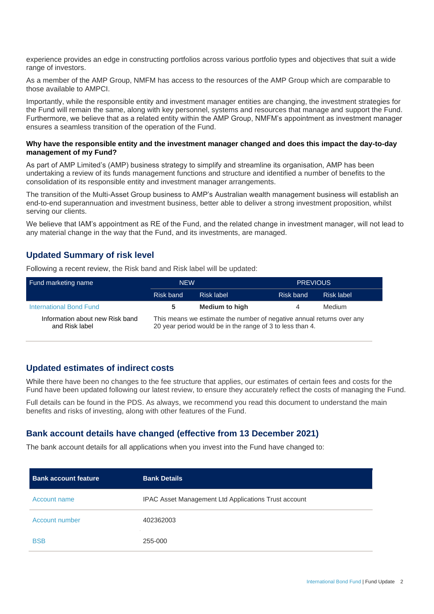experience provides an edge in constructing portfolios across various portfolio types and objectives that suit a wide range of investors.

As a member of the AMP Group, NMFM has access to the resources of the AMP Group which are comparable to those available to AMPCI.

Importantly, while the responsible entity and investment manager entities are changing, the investment strategies for the Fund will remain the same, along with key personnel, systems and resources that manage and support the Fund. Furthermore, we believe that as a related entity within the AMP Group, NMFM's appointment as investment manager ensures a seamless transition of the operation of the Fund.

#### **Why have the responsible entity and the investment manager changed and does this impact the day-to-day management of my Fund?**

As part of AMP Limited's (AMP) business strategy to simplify and streamline its organisation, AMP has been undertaking a review of its funds management functions and structure and identified a number of benefits to the consolidation of its responsible entity and investment manager arrangements.

The transition of the Multi-Asset Group business to AMP's Australian wealth management business will establish an end-to-end superannuation and investment business, better able to deliver a strong investment proposition, whilst serving our clients.

We believe that IAM's appointment as RE of the Fund, and the related change in investment manager, will not lead to any material change in the way that the Fund, and its investments, are managed.

## **Updated Summary of risk level**

Following a recent review, the Risk band and Risk label will be updated:

| Fund marketing name                               | <b>NEW</b>                                                                                                                         |                       | <b>PREVIOUS</b> |            |
|---------------------------------------------------|------------------------------------------------------------------------------------------------------------------------------------|-----------------------|-----------------|------------|
|                                                   | Risk band                                                                                                                          | Risk label            | Risk band       | Risk label |
| International Bond Fund                           |                                                                                                                                    | <b>Medium to high</b> | Δ               | Medium     |
| Information about new Risk band<br>and Risk label | This means we estimate the number of negative annual returns over any<br>20 year period would be in the range of 3 to less than 4. |                       |                 |            |

## **Updated estimates of indirect costs**

While there have been no changes to the fee structure that applies, our estimates of certain fees and costs for the Fund have been updated following our latest review, to ensure they accurately reflect the costs of managing the Fund.

Full details can be found in the PDS. As always, we recommend you read this document to understand the main benefits and risks of investing, along with other features of the Fund.

## **Bank account details have changed (effective from 13 December 2021)**

The bank account details for all applications when you invest into the Fund have changed to:

| <b>Bank account feature</b> | <b>Bank Details</b>                                  |  |
|-----------------------------|------------------------------------------------------|--|
| Account name                | IPAC Asset Management Ltd Applications Trust account |  |
| Account number              | 402362003                                            |  |
| <b>BSB</b>                  | 255-000                                              |  |